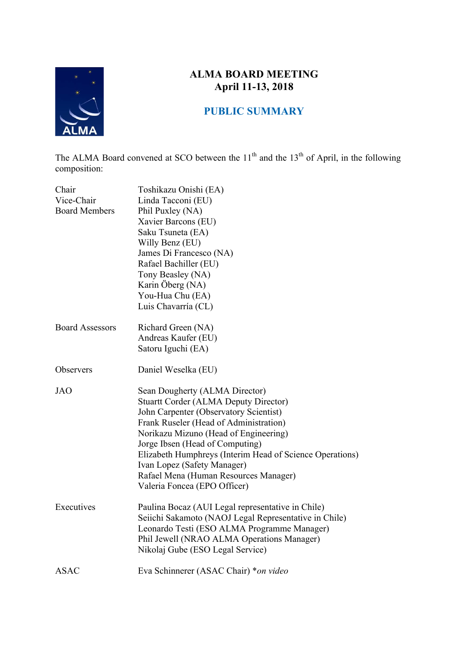

# **ALMA BOARD MEETING April 11-13, 2018**

## **PUBLIC SUMMARY**

The ALMA Board convened at SCO between the  $11<sup>th</sup>$  and the  $13<sup>th</sup>$  of April, in the following composition:

| Chair<br>Vice-Chair<br><b>Board Members</b> | Toshikazu Onishi (EA)<br>Linda Tacconi (EU)<br>Phil Puxley (NA)<br>Xavier Barcons (EU)<br>Saku Tsuneta (EA)<br>Willy Benz (EU)<br>James Di Francesco (NA)<br>Rafael Bachiller (EU)<br>Tony Beasley (NA)<br>Karin Öberg (NA)<br>You-Hua Chu (EA)<br>Luis Chavarría (CL)                                                                                                                                             |
|---------------------------------------------|--------------------------------------------------------------------------------------------------------------------------------------------------------------------------------------------------------------------------------------------------------------------------------------------------------------------------------------------------------------------------------------------------------------------|
| <b>Board Assessors</b>                      | Richard Green (NA)<br>Andreas Kaufer (EU)<br>Satoru Iguchi (EA)                                                                                                                                                                                                                                                                                                                                                    |
| Observers                                   | Daniel Weselka (EU)                                                                                                                                                                                                                                                                                                                                                                                                |
| <b>JAO</b>                                  | Sean Dougherty (ALMA Director)<br><b>Stuartt Corder (ALMA Deputy Director)</b><br>John Carpenter (Observatory Scientist)<br>Frank Ruseler (Head of Administration)<br>Norikazu Mizuno (Head of Engineering)<br>Jorge Ibsen (Head of Computing)<br>Elizabeth Humphreys (Interim Head of Science Operations)<br>Ivan Lopez (Safety Manager)<br>Rafael Mena (Human Resources Manager)<br>Valeria Foncea (EPO Officer) |
| Executives                                  | Paulina Bocaz (AUI Legal representative in Chile)<br>Seiichi Sakamoto (NAOJ Legal Representative in Chile)<br>Leonardo Testi (ESO ALMA Programme Manager)<br>Phil Jewell (NRAO ALMA Operations Manager)<br>Nikolaj Gube (ESO Legal Service)                                                                                                                                                                        |
| <b>ASAC</b>                                 | Eva Schinnerer (ASAC Chair) *on video                                                                                                                                                                                                                                                                                                                                                                              |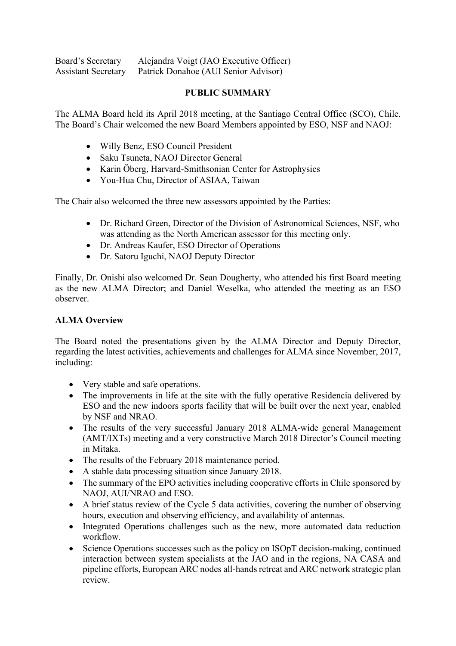Board's Secretary Alejandra Voigt (JAO Executive Officer) Assistant Secretary Patrick Donahoe (AUI Senior Advisor)

## **PUBLIC SUMMARY**

The ALMA Board held its April 2018 meeting, at the Santiago Central Office (SCO), Chile. The Board's Chair welcomed the new Board Members appointed by ESO, NSF and NAOJ:

- Willy Benz, ESO Council President
- Saku Tsuneta, NAOJ Director General
- Karin Öberg, Harvard-Smithsonian Center for Astrophysics
- You-Hua Chu, Director of ASIAA, Taiwan

The Chair also welcomed the three new assessors appointed by the Parties:

- Dr. Richard Green, Director of the Division of Astronomical Sciences, NSF, who was attending as the North American assessor for this meeting only.
- Dr. Andreas Kaufer, ESO Director of Operations
- Dr. Satoru Iguchi, NAOJ Deputy Director

Finally, Dr. Onishi also welcomed Dr. Sean Dougherty, who attended his first Board meeting as the new ALMA Director; and Daniel Weselka, who attended the meeting as an ESO observer.

## **ALMA Overview**

The Board noted the presentations given by the ALMA Director and Deputy Director, regarding the latest activities, achievements and challenges for ALMA since November, 2017, including:

- Very stable and safe operations.
- The improvements in life at the site with the fully operative Residencia delivered by ESO and the new indoors sports facility that will be built over the next year, enabled by NSF and NRAO.
- The results of the very successful January 2018 ALMA-wide general Management (AMT/IXTs) meeting and a very constructive March 2018 Director's Council meeting in Mitaka.
- The results of the February 2018 maintenance period.
- A stable data processing situation since January 2018.
- The summary of the EPO activities including cooperative efforts in Chile sponsored by NAOJ, AUI/NRAO and ESO.
- A brief status review of the Cycle 5 data activities, covering the number of observing hours, execution and observing efficiency, and availability of antennas.
- Integrated Operations challenges such as the new, more automated data reduction workflow.
- Science Operations successes such as the policy on ISOpT decision-making, continued interaction between system specialists at the JAO and in the regions, NA CASA and pipeline efforts, European ARC nodes all-hands retreat and ARC network strategic plan review.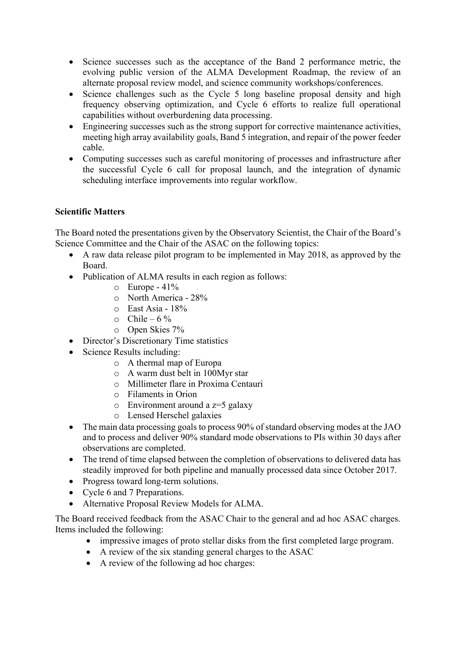- Science successes such as the acceptance of the Band 2 performance metric, the evolving public version of the ALMA Development Roadmap, the review of an alternate proposal review model, and science community workshops/conferences.
- Science challenges such as the Cycle 5 long baseline proposal density and high frequency observing optimization, and Cycle 6 efforts to realize full operational capabilities without overburdening data processing.
- Engineering successes such as the strong support for corrective maintenance activities, meeting high array availability goals, Band 5 integration, and repair of the power feeder cable.
- Computing successes such as careful monitoring of processes and infrastructure after the successful Cycle 6 call for proposal launch, and the integration of dynamic scheduling interface improvements into regular workflow.

## **Scientific Matters**

The Board noted the presentations given by the Observatory Scientist, the Chair of the Board's Science Committee and the Chair of the ASAC on the following topics:

- A raw data release pilot program to be implemented in May 2018, as approved by the Board.
- Publication of ALMA results in each region as follows:
	- $\circ$  Europe 41%
	- o North America 28%
	- $\circ$  East Asia 18%
	- $\circ$  Chile 6 %
	- o Open Skies 7%
- Director's Discretionary Time statistics
- Science Results including:
	- o A thermal map of Europa
	- o A warm dust belt in 100Myr star
	- o Millimeter flare in Proxima Centauri
	- o Filaments in Orion
	- $\circ$  Environment around a z=5 galaxy
	- o Lensed Herschel galaxies
- The main data processing goals to process 90% of standard observing modes at the JAO and to process and deliver 90% standard mode observations to PIs within 30 days after observations are completed.
- The trend of time elapsed between the completion of observations to delivered data has steadily improved for both pipeline and manually processed data since October 2017.
- Progress toward long-term solutions.
- Cycle 6 and 7 Preparations.
- Alternative Proposal Review Models for ALMA.

The Board received feedback from the ASAC Chair to the general and ad hoc ASAC charges. Items included the following:

- impressive images of proto stellar disks from the first completed large program.
- A review of the six standing general charges to the ASAC
- A review of the following ad hoc charges: